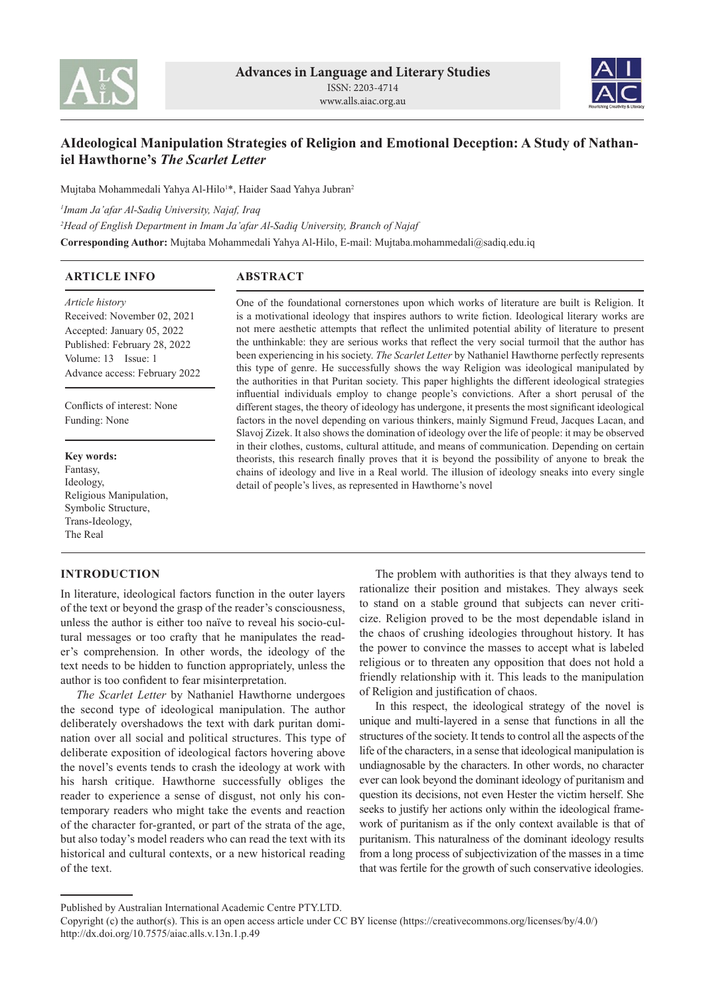



# **AIdeological Manipulation Strategies of Religion and Emotional Deception: A Study of Nathaniel Hawthorne's** *The Scarlet Letter*

Mujtaba Mohammedali Yahya Al-Hilo'\*, Haider Saad Yahya Jubran<sup>2</sup>

*1 Imam Ja'afar Al-Sadiq University, Najaf, Iraq*

*2 Head of English Department in Imam Ja'afar Al-Sadiq University, Branch of Najaf*

**Corresponding Author:** Mujtaba Mohammedali Yahya Al-Hilo, E-mail: Mujtaba.mohammedali@sadiq.edu.iq

#### **ABSTRACT ARTICLE INFO**

*Article history* Received: November 02, 2021 Accepted: January 05, 2022 Published: February 28, 2022 Volume: 13 Issue: 1 Advance access: February 2022

Conflicts of interest: None Funding: None

### **Key words:**

Fantasy, Ideology, Religious Manipulation, Symbolic Structure, Trans-Ideology, The Real

# **INTRODUCTION**

In literature, ideological factors function in the outer layers of the text or beyond the grasp of the reader's consciousness, unless the author is either too naïve to reveal his socio-cultural messages or too crafty that he manipulates the reader's comprehension. In other words, the ideology of the text needs to be hidden to function appropriately, unless the author is too confident to fear misinterpretation.

*The Scarlet Letter* by Nathaniel Hawthorne undergoes the second type of ideological manipulation. The author deliberately overshadows the text with dark puritan domination over all social and political structures. This type of deliberate exposition of ideological factors hovering above the novel's events tends to crash the ideology at work with his harsh critique. Hawthorne successfully obliges the reader to experience a sense of disgust, not only his contemporary readers who might take the events and reaction of the character for-granted, or part of the strata of the age, but also today's model readers who can read the text with its historical and cultural contexts, or a new historical reading of the text.

One of the foundational cornerstones upon which works of literature are built is Religion. It is a motivational ideology that inspires authors to write fiction. Ideological literary works are not mere aesthetic attempts that reflect the unlimited potential ability of literature to present the unthinkable: they are serious works that reflect the very social turmoil that the author has been experiencing in his society. *The Scarlet Letter* by Nathaniel Hawthorne perfectly represents this type of genre. He successfully shows the way Religion was ideological manipulated by the authorities in that Puritan society. This paper highlights the different ideological strategies influential individuals employ to change people's convictions. After a short perusal of the different stages, the theory of ideology has undergone, it presents the most significant ideological factors in the novel depending on various thinkers, mainly Sigmund Freud, Jacques Lacan, and Slavoj Zizek. It also shows the domination of ideology over the life of people: it may be observed in their clothes, customs, cultural attitude, and means of communication. Depending on certain theorists, this research finally proves that it is beyond the possibility of anyone to break the chains of ideology and live in a Real world. The illusion of ideology sneaks into every single detail of people's lives, as represented in Hawthorne's novel

> The problem with authorities is that they always tend to rationalize their position and mistakes. They always seek to stand on a stable ground that subjects can never criticize. Religion proved to be the most dependable island in the chaos of crushing ideologies throughout history. It has the power to convince the masses to accept what is labeled religious or to threaten any opposition that does not hold a friendly relationship with it. This leads to the manipulation of Religion and justification of chaos.

> In this respect, the ideological strategy of the novel is unique and multi-layered in a sense that functions in all the structures of the society. It tends to control all the aspects of the life of the characters, in a sense that ideological manipulation is undiagnosable by the characters. In other words, no character ever can look beyond the dominant ideology of puritanism and question its decisions, not even Hester the victim herself. She seeks to justify her actions only within the ideological framework of puritanism as if the only context available is that of puritanism. This naturalness of the dominant ideology results from a long process of subjectivization of the masses in a time that was fertile for the growth of such conservative ideologies.

Published by Australian International Academic Centre PTY.LTD.

Copyright (c) the author(s). This is an open access article under CC BY license (https://creativecommons.org/licenses/by/4.0/) http://dx.doi.org/10.7575/aiac.alls.v.13n.1.p.49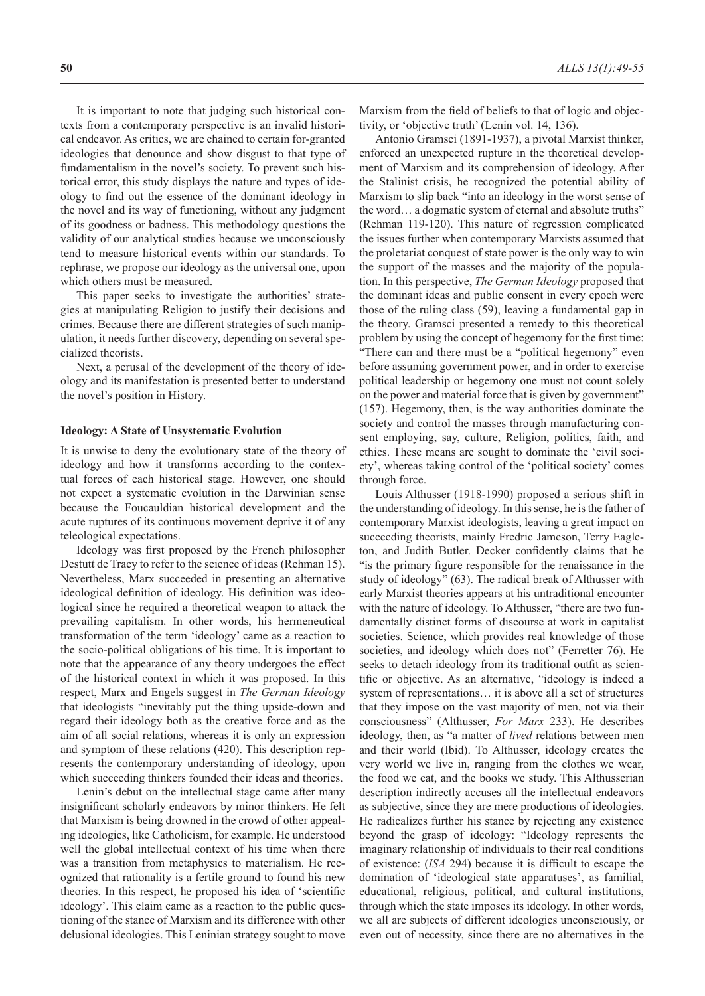It is important to note that judging such historical contexts from a contemporary perspective is an invalid historical endeavor. As critics, we are chained to certain for-granted ideologies that denounce and show disgust to that type of fundamentalism in the novel's society. To prevent such historical error, this study displays the nature and types of ideology to find out the essence of the dominant ideology in the novel and its way of functioning, without any judgment of its goodness or badness. This methodology questions the validity of our analytical studies because we unconsciously tend to measure historical events within our standards. To rephrase, we propose our ideology as the universal one, upon which others must be measured.

This paper seeks to investigate the authorities' strategies at manipulating Religion to justify their decisions and crimes. Because there are different strategies of such manipulation, it needs further discovery, depending on several specialized theorists.

Next, a perusal of the development of the theory of ideology and its manifestation is presented better to understand the novel's position in History.

#### **Ideology: A State of Unsystematic Evolution**

It is unwise to deny the evolutionary state of the theory of ideology and how it transforms according to the contextual forces of each historical stage. However, one should not expect a systematic evolution in the Darwinian sense because the Foucauldian historical development and the acute ruptures of its continuous movement deprive it of any teleological expectations.

Ideology was first proposed by the French philosopher Destutt de Tracy to refer to the science of ideas (Rehman 15). Nevertheless, Marx succeeded in presenting an alternative ideological definition of ideology. His definition was ideological since he required a theoretical weapon to attack the prevailing capitalism. In other words, his hermeneutical transformation of the term 'ideology' came as a reaction to the socio-political obligations of his time. It is important to note that the appearance of any theory undergoes the effect of the historical context in which it was proposed. In this respect, Marx and Engels suggest in *The German Ideology* that ideologists "inevitably put the thing upside-down and regard their ideology both as the creative force and as the aim of all social relations, whereas it is only an expression and symptom of these relations (420). This description represents the contemporary understanding of ideology, upon which succeeding thinkers founded their ideas and theories.

Lenin's debut on the intellectual stage came after many insignificant scholarly endeavors by minor thinkers. He felt that Marxism is being drowned in the crowd of other appealing ideologies, like Catholicism, for example. He understood well the global intellectual context of his time when there was a transition from metaphysics to materialism. He recognized that rationality is a fertile ground to found his new theories. In this respect, he proposed his idea of 'scientific ideology'. This claim came as a reaction to the public questioning of the stance of Marxism and its difference with other delusional ideologies. This Leninian strategy sought to move Marxism from the field of beliefs to that of logic and objectivity, or 'objective truth' (Lenin vol. 14, 136).

Antonio Gramsci (1891-1937), a pivotal Marxist thinker, enforced an unexpected rupture in the theoretical development of Marxism and its comprehension of ideology. After the Stalinist crisis, he recognized the potential ability of Marxism to slip back "into an ideology in the worst sense of the word… a dogmatic system of eternal and absolute truths" (Rehman 119-120). This nature of regression complicated the issues further when contemporary Marxists assumed that the proletariat conquest of state power is the only way to win the support of the masses and the majority of the population. In this perspective, *The German Ideology* proposed that the dominant ideas and public consent in every epoch were those of the ruling class (59), leaving a fundamental gap in the theory. Gramsci presented a remedy to this theoretical problem by using the concept of hegemony for the first time: "There can and there must be a "political hegemony" even before assuming government power, and in order to exercise political leadership or hegemony one must not count solely on the power and material force that is given by government" (157). Hegemony, then, is the way authorities dominate the society and control the masses through manufacturing consent employing, say, culture, Religion, politics, faith, and ethics. These means are sought to dominate the 'civil society', whereas taking control of the 'political society' comes through force.

Louis Althusser (1918-1990) proposed a serious shift in the understanding of ideology. In this sense, he is the father of contemporary Marxist ideologists, leaving a great impact on succeeding theorists, mainly Fredric Jameson, Terry Eagleton, and Judith Butler. Decker confidently claims that he "is the primary figure responsible for the renaissance in the study of ideology" (63). The radical break of Althusser with early Marxist theories appears at his untraditional encounter with the nature of ideology. To Althusser, "there are two fundamentally distinct forms of discourse at work in capitalist societies. Science, which provides real knowledge of those societies, and ideology which does not" (Ferretter 76). He seeks to detach ideology from its traditional outfit as scientific or objective. As an alternative, "ideology is indeed a system of representations… it is above all a set of structures that they impose on the vast majority of men, not via their consciousness" (Althusser, *For Marx* 233). He describes ideology, then, as "a matter of *lived* relations between men and their world (Ibid). To Althusser, ideology creates the very world we live in, ranging from the clothes we wear, the food we eat, and the books we study. This Althusserian description indirectly accuses all the intellectual endeavors as subjective, since they are mere productions of ideologies. He radicalizes further his stance by rejecting any existence beyond the grasp of ideology: "Ideology represents the imaginary relationship of individuals to their real conditions of existence: (*ISA* 294) because it is difficult to escape the domination of 'ideological state apparatuses', as familial, educational, religious, political, and cultural institutions, through which the state imposes its ideology. In other words, we all are subjects of different ideologies unconsciously, or even out of necessity, since there are no alternatives in the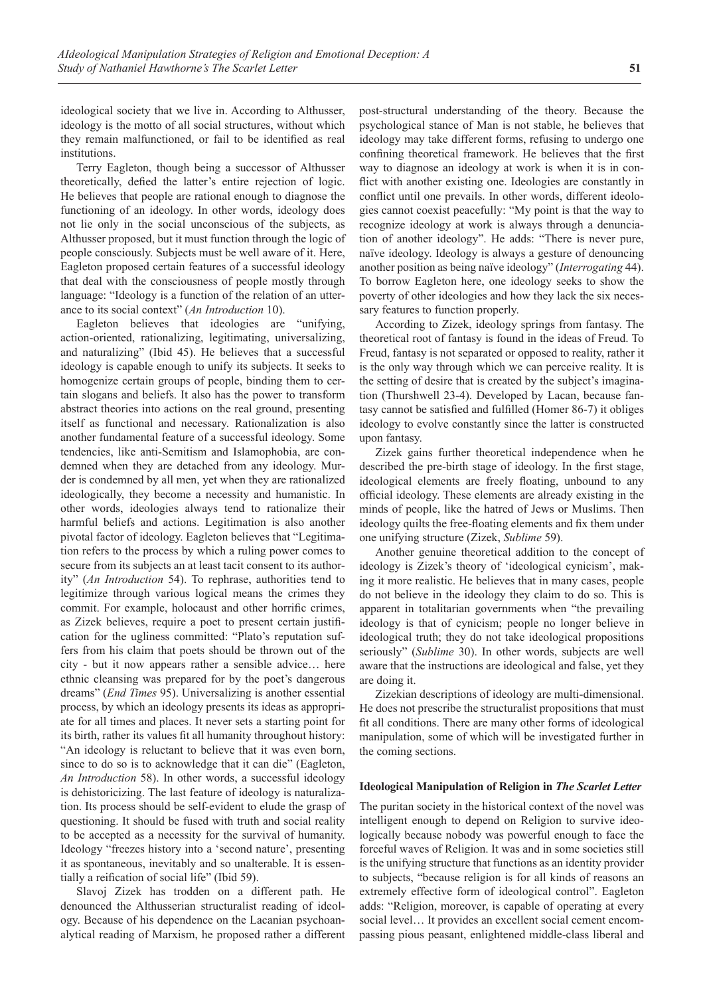ideological society that we live in. According to Althusser, ideology is the motto of all social structures, without which they remain malfunctioned, or fail to be identified as real institutions.

Terry Eagleton, though being a successor of Althusser theoretically, defied the latter's entire rejection of logic. He believes that people are rational enough to diagnose the functioning of an ideology. In other words, ideology does not lie only in the social unconscious of the subjects, as Althusser proposed, but it must function through the logic of people consciously. Subjects must be well aware of it. Here, Eagleton proposed certain features of a successful ideology that deal with the consciousness of people mostly through language: "Ideology is a function of the relation of an utterance to its social context" (*An Introduction* 10).

Eagleton believes that ideologies are "unifying, action-oriented, rationalizing, legitimating, universalizing, and naturalizing" (Ibid 45). He believes that a successful ideology is capable enough to unify its subjects. It seeks to homogenize certain groups of people, binding them to certain slogans and beliefs. It also has the power to transform abstract theories into actions on the real ground, presenting itself as functional and necessary. Rationalization is also another fundamental feature of a successful ideology. Some tendencies, like anti-Semitism and Islamophobia, are condemned when they are detached from any ideology. Murder is condemned by all men, yet when they are rationalized ideologically, they become a necessity and humanistic. In other words, ideologies always tend to rationalize their harmful beliefs and actions. Legitimation is also another pivotal factor of ideology. Eagleton believes that "Legitimation refers to the process by which a ruling power comes to secure from its subjects an at least tacit consent to its authority" (*An Introduction* 54). To rephrase, authorities tend to legitimize through various logical means the crimes they commit. For example, holocaust and other horrific crimes, as Zizek believes, require a poet to present certain justification for the ugliness committed: "Plato's reputation suffers from his claim that poets should be thrown out of the city - but it now appears rather a sensible advice… here ethnic cleansing was prepared for by the poet's dangerous dreams" (*End Times* 95). Universalizing is another essential process, by which an ideology presents its ideas as appropriate for all times and places. It never sets a starting point for its birth, rather its values fit all humanity throughout history: "An ideology is reluctant to believe that it was even born, since to do so is to acknowledge that it can die" (Eagleton, *An Introduction* 58). In other words, a successful ideology is dehistoricizing. The last feature of ideology is naturalization. Its process should be self-evident to elude the grasp of questioning. It should be fused with truth and social reality to be accepted as a necessity for the survival of humanity. Ideology "freezes history into a 'second nature', presenting it as spontaneous, inevitably and so unalterable. It is essentially a reification of social life" (Ibid 59).

Slavoj Zizek has trodden on a different path. He denounced the Althusserian structuralist reading of ideology. Because of his dependence on the Lacanian psychoanalytical reading of Marxism, he proposed rather a different post-structural understanding of the theory. Because the psychological stance of Man is not stable, he believes that ideology may take different forms, refusing to undergo one confining theoretical framework. He believes that the first way to diagnose an ideology at work is when it is in conflict with another existing one. Ideologies are constantly in conflict until one prevails. In other words, different ideologies cannot coexist peacefully: "My point is that the way to recognize ideology at work is always through a denunciation of another ideology". He adds: "There is never pure, naïve ideology. Ideology is always a gesture of denouncing another position as being naïve ideology" (*Interrogating* 44). To borrow Eagleton here, one ideology seeks to show the poverty of other ideologies and how they lack the six necessary features to function properly.

According to Zizek, ideology springs from fantasy. The theoretical root of fantasy is found in the ideas of Freud. To Freud, fantasy is not separated or opposed to reality, rather it is the only way through which we can perceive reality. It is the setting of desire that is created by the subject's imagination (Thurshwell 23-4). Developed by Lacan, because fantasy cannot be satisfied and fulfilled (Homer 86-7) it obliges ideology to evolve constantly since the latter is constructed upon fantasy.

Zizek gains further theoretical independence when he described the pre-birth stage of ideology. In the first stage, ideological elements are freely floating, unbound to any official ideology. These elements are already existing in the minds of people, like the hatred of Jews or Muslims. Then ideology quilts the free-floating elements and fix them under one unifying structure (Zizek, *Sublime* 59).

Another genuine theoretical addition to the concept of ideology is Zizek's theory of 'ideological cynicism', making it more realistic. He believes that in many cases, people do not believe in the ideology they claim to do so. This is apparent in totalitarian governments when "the prevailing ideology is that of cynicism; people no longer believe in ideological truth; they do not take ideological propositions seriously" (*Sublime* 30). In other words, subjects are well aware that the instructions are ideological and false, yet they are doing it.

Zizekian descriptions of ideology are multi-dimensional. He does not prescribe the structuralist propositions that must fit all conditions. There are many other forms of ideological manipulation, some of which will be investigated further in the coming sections.

### **Ideological Manipulation of Religion in** *The Scarlet Letter*

The puritan society in the historical context of the novel was intelligent enough to depend on Religion to survive ideologically because nobody was powerful enough to face the forceful waves of Religion. It was and in some societies still is the unifying structure that functions as an identity provider to subjects, "because religion is for all kinds of reasons an extremely effective form of ideological control". Eagleton adds: "Religion, moreover, is capable of operating at every social level… It provides an excellent social cement encompassing pious peasant, enlightened middle-class liberal and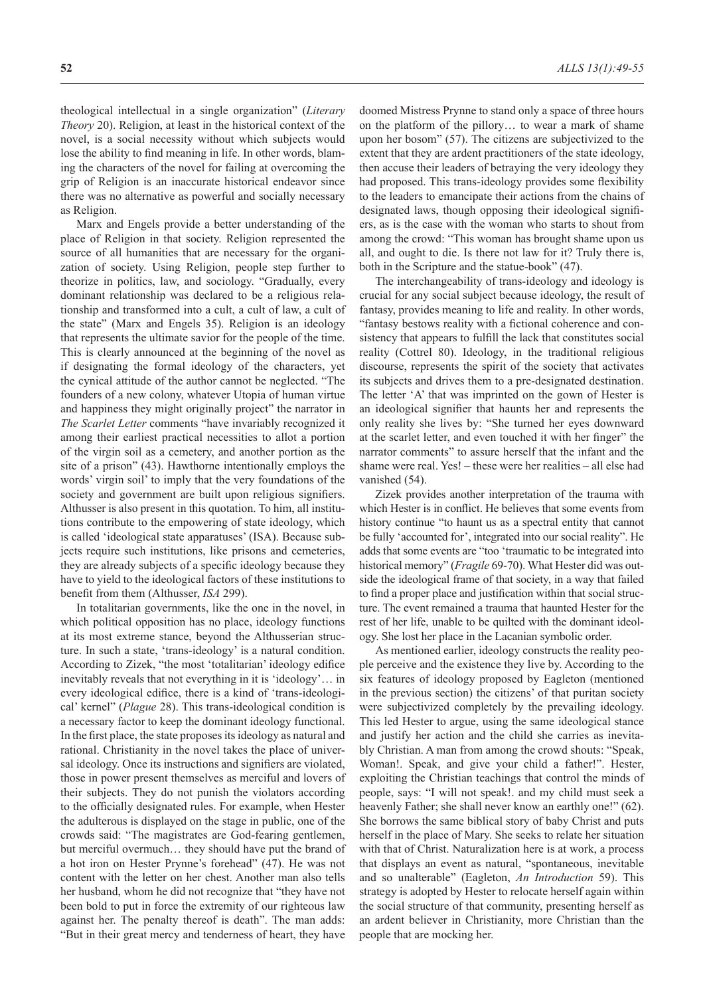theological intellectual in a single organization" (*Literary Theory* 20). Religion, at least in the historical context of the novel, is a social necessity without which subjects would lose the ability to find meaning in life. In other words, blaming the characters of the novel for failing at overcoming the grip of Religion is an inaccurate historical endeavor since there was no alternative as powerful and socially necessary as Religion.

Marx and Engels provide a better understanding of the place of Religion in that society. Religion represented the source of all humanities that are necessary for the organization of society. Using Religion, people step further to theorize in politics, law, and sociology. "Gradually, every dominant relationship was declared to be a religious relationship and transformed into a cult, a cult of law, a cult of the state" (Marx and Engels 35). Religion is an ideology that represents the ultimate savior for the people of the time. This is clearly announced at the beginning of the novel as if designating the formal ideology of the characters, yet the cynical attitude of the author cannot be neglected. "The founders of a new colony, whatever Utopia of human virtue and happiness they might originally project" the narrator in *The Scarlet Letter* comments "have invariably recognized it among their earliest practical necessities to allot a portion of the virgin soil as a cemetery, and another portion as the site of a prison" (43). Hawthorne intentionally employs the words' virgin soil' to imply that the very foundations of the society and government are built upon religious signifiers. Althusser is also present in this quotation. To him, all institutions contribute to the empowering of state ideology, which is called 'ideological state apparatuses' (ISA). Because subjects require such institutions, like prisons and cemeteries, they are already subjects of a specific ideology because they have to yield to the ideological factors of these institutions to benefit from them (Althusser, *ISA* 299).

In totalitarian governments, like the one in the novel, in which political opposition has no place, ideology functions at its most extreme stance, beyond the Althusserian structure. In such a state, 'trans-ideology' is a natural condition. According to Zizek, "the most 'totalitarian' ideology edifice inevitably reveals that not everything in it is 'ideology'… in every ideological edifice, there is a kind of 'trans-ideological' kernel" (*Plague* 28). This trans-ideological condition is a necessary factor to keep the dominant ideology functional. In the first place, the state proposes its ideology as natural and rational. Christianity in the novel takes the place of universal ideology. Once its instructions and signifiers are violated, those in power present themselves as merciful and lovers of their subjects. They do not punish the violators according to the officially designated rules. For example, when Hester the adulterous is displayed on the stage in public, one of the crowds said: "The magistrates are God-fearing gentlemen, but merciful overmuch… they should have put the brand of a hot iron on Hester Prynne's forehead" (47). He was not content with the letter on her chest. Another man also tells her husband, whom he did not recognize that "they have not been bold to put in force the extremity of our righteous law against her. The penalty thereof is death". The man adds: "But in their great mercy and tenderness of heart, they have

doomed Mistress Prynne to stand only a space of three hours on the platform of the pillory… to wear a mark of shame upon her bosom" (57). The citizens are subjectivized to the extent that they are ardent practitioners of the state ideology, then accuse their leaders of betraying the very ideology they had proposed. This trans-ideology provides some flexibility to the leaders to emancipate their actions from the chains of designated laws, though opposing their ideological signifiers, as is the case with the woman who starts to shout from among the crowd: "This woman has brought shame upon us all, and ought to die. Is there not law for it? Truly there is, both in the Scripture and the statue-book" (47).

The interchangeability of trans-ideology and ideology is crucial for any social subject because ideology, the result of fantasy, provides meaning to life and reality. In other words, "fantasy bestows reality with a fictional coherence and consistency that appears to fulfill the lack that constitutes social reality (Cottrel 80). Ideology, in the traditional religious discourse, represents the spirit of the society that activates its subjects and drives them to a pre-designated destination. The letter 'A' that was imprinted on the gown of Hester is an ideological signifier that haunts her and represents the only reality she lives by: "She turned her eyes downward at the scarlet letter, and even touched it with her finger" the narrator comments" to assure herself that the infant and the shame were real. Yes! – these were her realities – all else had vanished (54).

Zizek provides another interpretation of the trauma with which Hester is in conflict. He believes that some events from history continue "to haunt us as a spectral entity that cannot be fully 'accounted for', integrated into our social reality". He adds that some events are "too 'traumatic to be integrated into historical memory" (*Fragile* 69-70). What Hester did was outside the ideological frame of that society, in a way that failed to find a proper place and justification within that social structure. The event remained a trauma that haunted Hester for the rest of her life, unable to be quilted with the dominant ideology. She lost her place in the Lacanian symbolic order.

As mentioned earlier, ideology constructs the reality people perceive and the existence they live by. According to the six features of ideology proposed by Eagleton (mentioned in the previous section) the citizens' of that puritan society were subjectivized completely by the prevailing ideology. This led Hester to argue, using the same ideological stance and justify her action and the child she carries as inevitably Christian. A man from among the crowd shouts: "Speak, Woman!. Speak, and give your child a father!". Hester, exploiting the Christian teachings that control the minds of people, says: "I will not speak!. and my child must seek a heavenly Father; she shall never know an earthly one!" (62). She borrows the same biblical story of baby Christ and puts herself in the place of Mary. She seeks to relate her situation with that of Christ. Naturalization here is at work, a process that displays an event as natural, "spontaneous, inevitable and so unalterable" (Eagleton, *An Introduction* 59). This strategy is adopted by Hester to relocate herself again within the social structure of that community, presenting herself as an ardent believer in Christianity, more Christian than the people that are mocking her.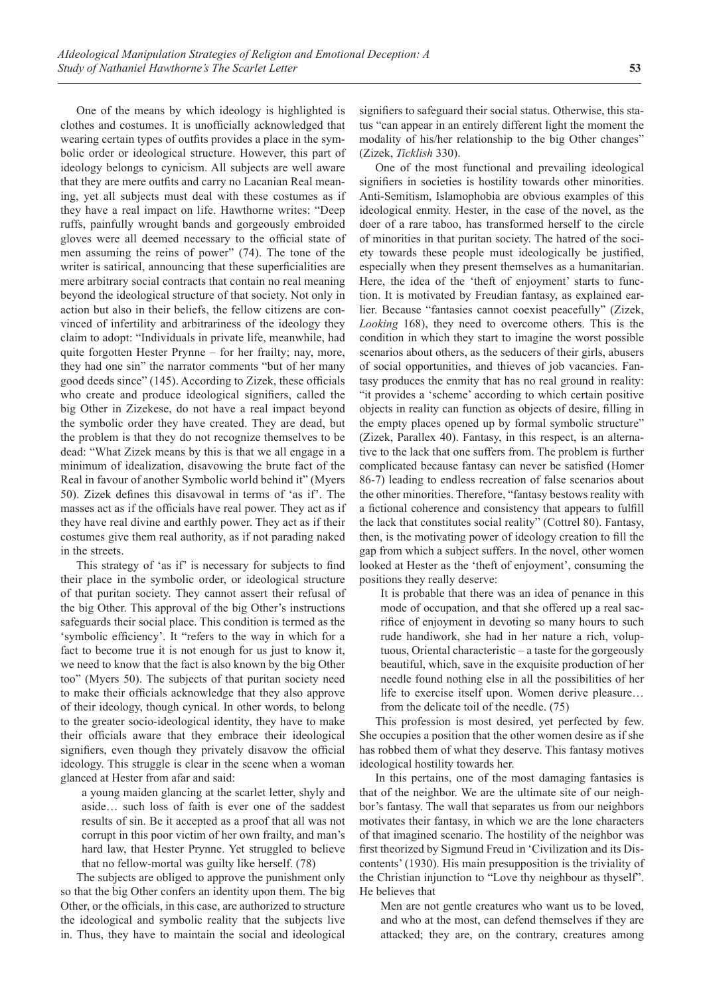One of the means by which ideology is highlighted is clothes and costumes. It is unofficially acknowledged that wearing certain types of outfits provides a place in the symbolic order or ideological structure. However, this part of ideology belongs to cynicism. All subjects are well aware that they are mere outfits and carry no Lacanian Real meaning, yet all subjects must deal with these costumes as if they have a real impact on life. Hawthorne writes: "Deep ruffs, painfully wrought bands and gorgeously embroided gloves were all deemed necessary to the official state of men assuming the reins of power" (74). The tone of the writer is satirical, announcing that these superficialities are mere arbitrary social contracts that contain no real meaning beyond the ideological structure of that society. Not only in action but also in their beliefs, the fellow citizens are convinced of infertility and arbitrariness of the ideology they claim to adopt: "Individuals in private life, meanwhile, had quite forgotten Hester Prynne – for her frailty; nay, more, they had one sin" the narrator comments "but of her many good deeds since" (145). According to Zizek, these officials who create and produce ideological signifiers, called the big Other in Zizekese, do not have a real impact beyond the symbolic order they have created. They are dead, but the problem is that they do not recognize themselves to be dead: "What Zizek means by this is that we all engage in a minimum of idealization, disavowing the brute fact of the Real in favour of another Symbolic world behind it" (Myers 50). Zizek defines this disavowal in terms of 'as if'. The masses act as if the officials have real power. They act as if they have real divine and earthly power. They act as if their costumes give them real authority, as if not parading naked in the streets.

This strategy of 'as if' is necessary for subjects to find their place in the symbolic order, or ideological structure of that puritan society. They cannot assert their refusal of the big Other. This approval of the big Other's instructions safeguards their social place. This condition is termed as the 'symbolic efficiency'. It "refers to the way in which for a fact to become true it is not enough for us just to know it, we need to know that the fact is also known by the big Other too" (Myers 50). The subjects of that puritan society need to make their officials acknowledge that they also approve of their ideology, though cynical. In other words, to belong to the greater socio-ideological identity, they have to make their officials aware that they embrace their ideological signifiers, even though they privately disavow the official ideology. This struggle is clear in the scene when a woman glanced at Hester from afar and said:

a young maiden glancing at the scarlet letter, shyly and aside… such loss of faith is ever one of the saddest results of sin. Be it accepted as a proof that all was not corrupt in this poor victim of her own frailty, and man's hard law, that Hester Prynne. Yet struggled to believe that no fellow-mortal was guilty like herself. (78)

The subjects are obliged to approve the punishment only so that the big Other confers an identity upon them. The big Other, or the officials, in this case, are authorized to structure the ideological and symbolic reality that the subjects live in. Thus, they have to maintain the social and ideological

signifiers to safeguard their social status. Otherwise, this status "can appear in an entirely different light the moment the modality of his/her relationship to the big Other changes" (Zizek, *Ticklish* 330).

One of the most functional and prevailing ideological signifiers in societies is hostility towards other minorities. Anti-Semitism, Islamophobia are obvious examples of this ideological enmity. Hester, in the case of the novel, as the doer of a rare taboo, has transformed herself to the circle of minorities in that puritan society. The hatred of the society towards these people must ideologically be justified, especially when they present themselves as a humanitarian. Here, the idea of the 'theft of enjoyment' starts to function. It is motivated by Freudian fantasy, as explained earlier. Because "fantasies cannot coexist peacefully" (Zizek, *Looking* 168), they need to overcome others. This is the condition in which they start to imagine the worst possible scenarios about others, as the seducers of their girls, abusers of social opportunities, and thieves of job vacancies. Fantasy produces the enmity that has no real ground in reality: "it provides a 'scheme' according to which certain positive objects in reality can function as objects of desire, filling in the empty places opened up by formal symbolic structure" (Zizek, Parallex 40). Fantasy, in this respect, is an alternative to the lack that one suffers from. The problem is further complicated because fantasy can never be satisfied (Homer 86-7) leading to endless recreation of false scenarios about the other minorities. Therefore, "fantasy bestows reality with a fictional coherence and consistency that appears to fulfill the lack that constitutes social reality" (Cottrel 80). Fantasy, then, is the motivating power of ideology creation to fill the gap from which a subject suffers. In the novel, other women looked at Hester as the 'theft of enjoyment', consuming the positions they really deserve:

It is probable that there was an idea of penance in this mode of occupation, and that she offered up a real sacrifice of enjoyment in devoting so many hours to such rude handiwork, she had in her nature a rich, voluptuous, Oriental characteristic – a taste for the gorgeously beautiful, which, save in the exquisite production of her needle found nothing else in all the possibilities of her life to exercise itself upon. Women derive pleasure… from the delicate toil of the needle. (75)

This profession is most desired, yet perfected by few. She occupies a position that the other women desire as if she has robbed them of what they deserve. This fantasy motives ideological hostility towards her.

In this pertains, one of the most damaging fantasies is that of the neighbor. We are the ultimate site of our neighbor's fantasy. The wall that separates us from our neighbors motivates their fantasy, in which we are the lone characters of that imagined scenario. The hostility of the neighbor was first theorized by Sigmund Freud in 'Civilization and its Discontents' (1930). His main presupposition is the triviality of the Christian injunction to "Love thy neighbour as thyself". He believes that

Men are not gentle creatures who want us to be loved, and who at the most, can defend themselves if they are attacked; they are, on the contrary, creatures among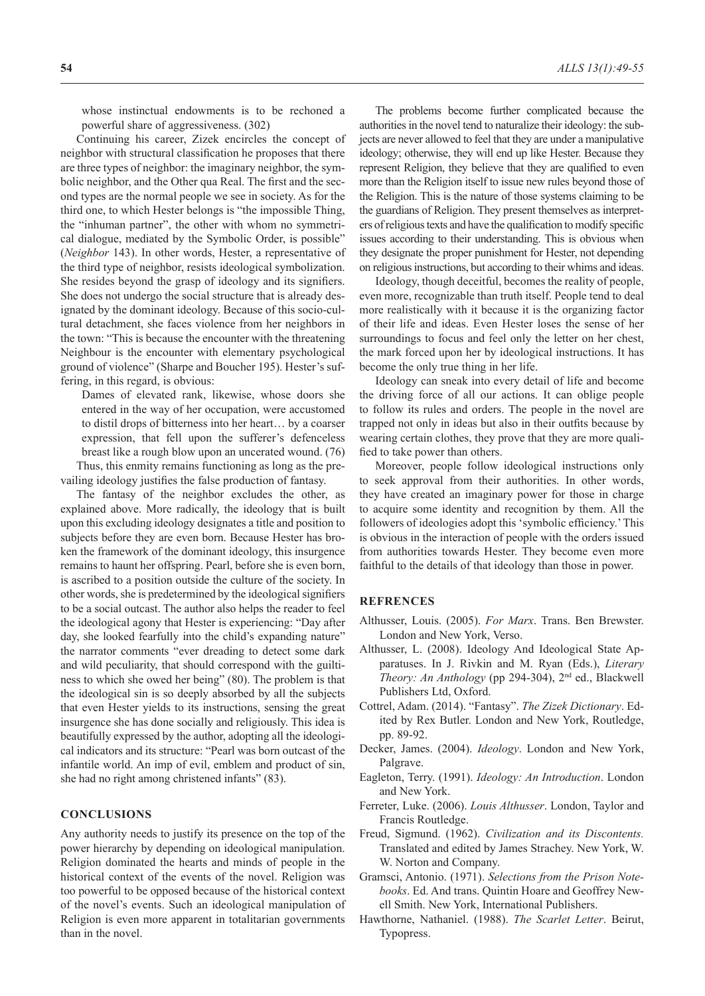whose instinctual endowments is to be rechoned a powerful share of aggressiveness. (302)

Continuing his career, Zizek encircles the concept of neighbor with structural classification he proposes that there are three types of neighbor: the imaginary neighbor, the symbolic neighbor, and the Other qua Real. The first and the second types are the normal people we see in society. As for the third one, to which Hester belongs is "the impossible Thing, the "inhuman partner", the other with whom no symmetrical dialogue, mediated by the Symbolic Order, is possible" (*Neighbor* 143). In other words, Hester, a representative of the third type of neighbor, resists ideological symbolization. She resides beyond the grasp of ideology and its signifiers. She does not undergo the social structure that is already designated by the dominant ideology. Because of this socio-cultural detachment, she faces violence from her neighbors in the town: "This is because the encounter with the threatening Neighbour is the encounter with elementary psychological ground of violence" (Sharpe and Boucher 195). Hester's suffering, in this regard, is obvious:

Dames of elevated rank, likewise, whose doors she entered in the way of her occupation, were accustomed to distil drops of bitterness into her heart… by a coarser expression, that fell upon the sufferer's defenceless breast like a rough blow upon an uncerated wound. (76) Thus, this enmity remains functioning as long as the pre-

vailing ideology justifies the false production of fantasy. The fantasy of the neighbor excludes the other, as explained above. More radically, the ideology that is built upon this excluding ideology designates a title and position to subjects before they are even born. Because Hester has broken the framework of the dominant ideology, this insurgence remains to haunt her offspring. Pearl, before she is even born, is ascribed to a position outside the culture of the society. In other words, she is predetermined by the ideological signifiers to be a social outcast. The author also helps the reader to feel the ideological agony that Hester is experiencing: "Day after day, she looked fearfully into the child's expanding nature" the narrator comments "ever dreading to detect some dark and wild peculiarity, that should correspond with the guiltiness to which she owed her being" (80). The problem is that the ideological sin is so deeply absorbed by all the subjects that even Hester yields to its instructions, sensing the great insurgence she has done socially and religiously. This idea is beautifully expressed by the author, adopting all the ideological indicators and its structure: "Pearl was born outcast of the infantile world. An imp of evil, emblem and product of sin, she had no right among christened infants" (83).

### **CONCLUSIONS**

Any authority needs to justify its presence on the top of the power hierarchy by depending on ideological manipulation. Religion dominated the hearts and minds of people in the historical context of the events of the novel. Religion was too powerful to be opposed because of the historical context of the novel's events. Such an ideological manipulation of Religion is even more apparent in totalitarian governments than in the novel.

The problems become further complicated because the authorities in the novel tend to naturalize their ideology: the subjects are never allowed to feel that they are under a manipulative ideology; otherwise, they will end up like Hester. Because they represent Religion, they believe that they are qualified to even more than the Religion itself to issue new rules beyond those of the Religion. This is the nature of those systems claiming to be the guardians of Religion. They present themselves as interpreters of religious texts and have the qualification to modify specific issues according to their understanding. This is obvious when they designate the proper punishment for Hester, not depending on religious instructions, but according to their whims and ideas.

Ideology, though deceitful, becomes the reality of people, even more, recognizable than truth itself. People tend to deal more realistically with it because it is the organizing factor of their life and ideas. Even Hester loses the sense of her surroundings to focus and feel only the letter on her chest, the mark forced upon her by ideological instructions. It has become the only true thing in her life.

Ideology can sneak into every detail of life and become the driving force of all our actions. It can oblige people to follow its rules and orders. The people in the novel are trapped not only in ideas but also in their outfits because by wearing certain clothes, they prove that they are more qualified to take power than others.

Moreover, people follow ideological instructions only to seek approval from their authorities. In other words, they have created an imaginary power for those in charge to acquire some identity and recognition by them. All the followers of ideologies adopt this 'symbolic efficiency.' This is obvious in the interaction of people with the orders issued from authorities towards Hester. They become even more faithful to the details of that ideology than those in power.

## **REFRENCES**

- Althusser, Louis. (2005). *For Marx*. Trans. Ben Brewster. London and New York, Verso.
- Althusser, L. (2008). Ideology And Ideological State Apparatuses. In J. Rivkin and M. Ryan (Eds.), *Literary Theory: An Anthology* (pp 294-304), 2nd ed., Blackwell Publishers Ltd, Oxford.
- Cottrel, Adam. (2014). "Fantasy". *The Zizek Dictionary*. Edited by Rex Butler. London and New York, Routledge, pp. 89-92.
- Decker, James. (2004). *Ideology*. London and New York, Palgrave.
- Eagleton, Terry. (1991). *Ideology: An Introduction*. London and New York.
- Ferreter, Luke. (2006). *Louis Althusser*. London, Taylor and Francis Routledge.
- Freud, Sigmund. (1962). *Civilization and its Discontents.*  Translated and edited by James Strachey. New York, W. W. Norton and Company.
- Gramsci, Antonio. (1971). *Selections from the Prison Notebooks*. Ed. And trans. Quintin Hoare and Geoffrey Newell Smith. New York, International Publishers.
- Hawthorne, Nathaniel. (1988). *The Scarlet Letter*. Beirut, Typopress.